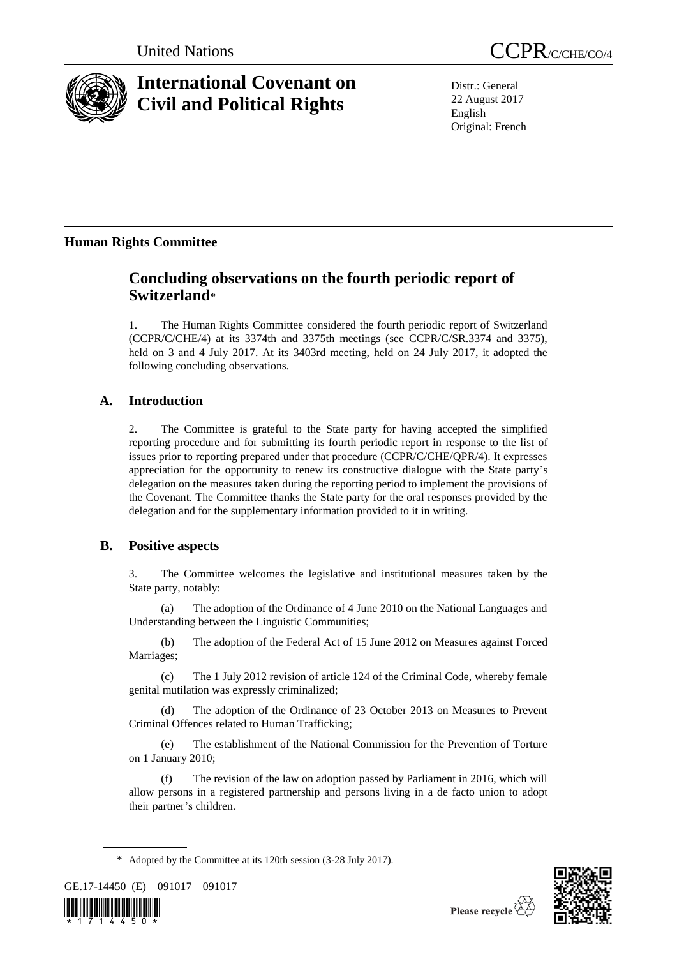

# **International Covenant on Civil and Political Rights**

United Nations CCPR/C/CHE/CO/4

Distr.: General 22 August 2017 English Original: French

## **Human Rights Committee**

## **Concluding observations on the fourth periodic report of Switzerland**\*

1. The Human Rights Committee considered the fourth periodic report of Switzerland (CCPR/C/CHE/4) at its 3374th and 3375th meetings (see CCPR/C/SR.3374 and 3375), held on 3 and 4 July 2017. At its 3403rd meeting, held on 24 July 2017, it adopted the following concluding observations.

## **A. Introduction**

2. The Committee is grateful to the State party for having accepted the simplified reporting procedure and for submitting its fourth periodic report in response to the list of issues prior to reporting prepared under that procedure (CCPR/C/CHE/QPR/4). It expresses appreciation for the opportunity to renew its constructive dialogue with the State party's delegation on the measures taken during the reporting period to implement the provisions of the Covenant. The Committee thanks the State party for the oral responses provided by the delegation and for the supplementary information provided to it in writing.

## **B. Positive aspects**

3. The Committee welcomes the legislative and institutional measures taken by the State party, notably:

(a) The adoption of the Ordinance of 4 June 2010 on the National Languages and Understanding between the Linguistic Communities;

(b) The adoption of the Federal Act of 15 June 2012 on Measures against Forced Marriages;

(c) The 1 July 2012 revision of article 124 of the Criminal Code, whereby female genital mutilation was expressly criminalized;

(d) The adoption of the Ordinance of 23 October 2013 on Measures to Prevent Criminal Offences related to Human Trafficking;

(e) The establishment of the National Commission for the Prevention of Torture on 1 January 2010;

(f) The revision of the law on adoption passed by Parliament in 2016, which will allow persons in a registered partnership and persons living in a de facto union to adopt their partner's children.

\* Adopted by the Committee at its 120th session (3-28 July 2017).

GE.17-14450 (E) 091017 091017



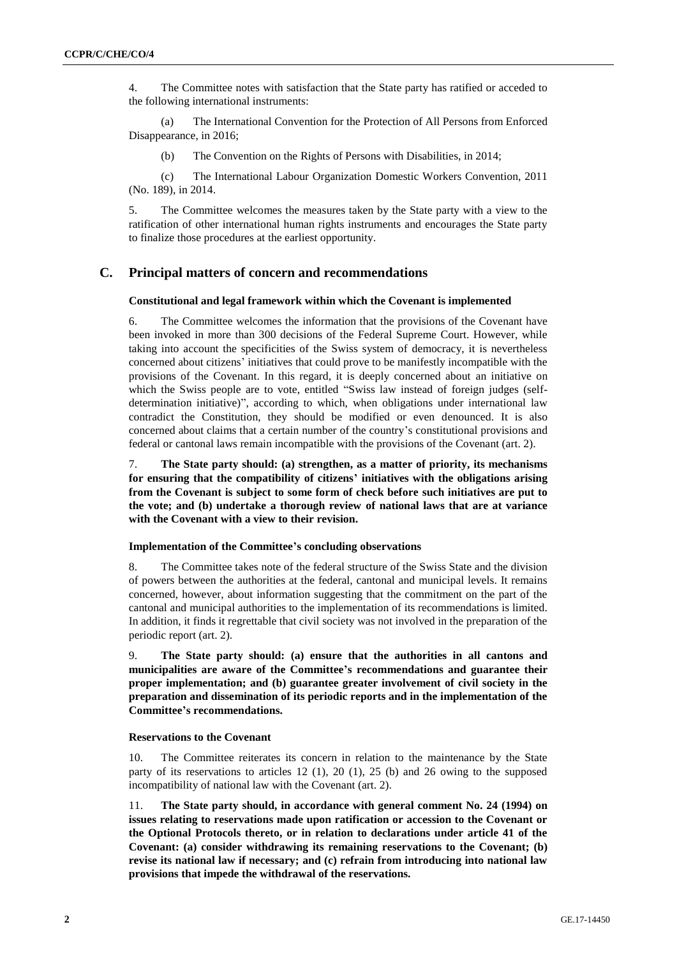4. The Committee notes with satisfaction that the State party has ratified or acceded to the following international instruments:

(a) The International Convention for the Protection of All Persons from Enforced Disappearance, in 2016;

(b) The Convention on the Rights of Persons with Disabilities, in 2014;

(c) The International Labour Organization Domestic Workers Convention, 2011 (No. 189), in 2014.

5. The Committee welcomes the measures taken by the State party with a view to the ratification of other international human rights instruments and encourages the State party to finalize those procedures at the earliest opportunity.

## **C. Principal matters of concern and recommendations**

#### **Constitutional and legal framework within which the Covenant is implemented**

6. The Committee welcomes the information that the provisions of the Covenant have been invoked in more than 300 decisions of the Federal Supreme Court. However, while taking into account the specificities of the Swiss system of democracy, it is nevertheless concerned about citizens' initiatives that could prove to be manifestly incompatible with the provisions of the Covenant. In this regard, it is deeply concerned about an initiative on which the Swiss people are to vote, entitled "Swiss law instead of foreign judges (selfdetermination initiative)", according to which, when obligations under international law contradict the Constitution, they should be modified or even denounced. It is also concerned about claims that a certain number of the country's constitutional provisions and federal or cantonal laws remain incompatible with the provisions of the Covenant (art. 2).

7. **The State party should: (a) strengthen, as a matter of priority, its mechanisms for ensuring that the compatibility of citizens' initiatives with the obligations arising from the Covenant is subject to some form of check before such initiatives are put to the vote; and (b) undertake a thorough review of national laws that are at variance with the Covenant with a view to their revision.**

#### **Implementation of the Committee's concluding observations**

8. The Committee takes note of the federal structure of the Swiss State and the division of powers between the authorities at the federal, cantonal and municipal levels. It remains concerned, however, about information suggesting that the commitment on the part of the cantonal and municipal authorities to the implementation of its recommendations is limited. In addition, it finds it regrettable that civil society was not involved in the preparation of the periodic report (art. 2).

9. **The State party should: (a) ensure that the authorities in all cantons and municipalities are aware of the Committee's recommendations and guarantee their proper implementation; and (b) guarantee greater involvement of civil society in the preparation and dissemination of its periodic reports and in the implementation of the Committee's recommendations.**

#### **Reservations to the Covenant**

10. The Committee reiterates its concern in relation to the maintenance by the State party of its reservations to articles 12 (1), 20 (1), 25 (b) and 26 owing to the supposed incompatibility of national law with the Covenant (art. 2).

11. **The State party should, in accordance with general comment No. 24 (1994) on issues relating to reservations made upon ratification or accession to the Covenant or the Optional Protocols thereto, or in relation to declarations under article 41 of the Covenant: (a) consider withdrawing its remaining reservations to the Covenant; (b) revise its national law if necessary; and (c) refrain from introducing into national law provisions that impede the withdrawal of the reservations.**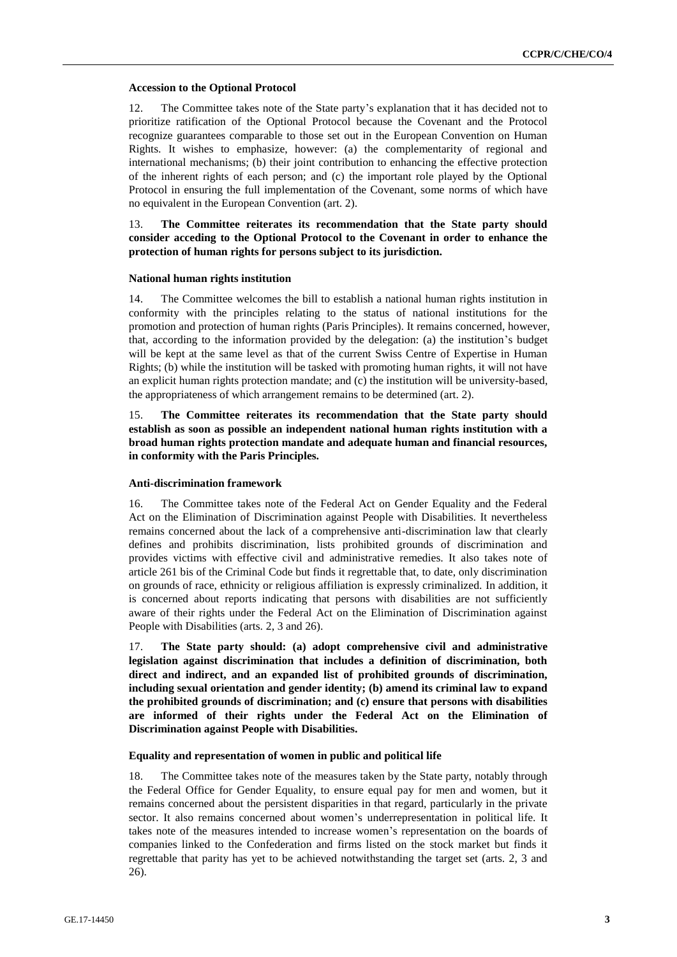### **Accession to the Optional Protocol**

12. The Committee takes note of the State party's explanation that it has decided not to prioritize ratification of the Optional Protocol because the Covenant and the Protocol recognize guarantees comparable to those set out in the European Convention on Human Rights. It wishes to emphasize, however: (a) the complementarity of regional and international mechanisms; (b) their joint contribution to enhancing the effective protection of the inherent rights of each person; and (c) the important role played by the Optional Protocol in ensuring the full implementation of the Covenant, some norms of which have no equivalent in the European Convention (art. 2).

13. **The Committee reiterates its recommendation that the State party should consider acceding to the Optional Protocol to the Covenant in order to enhance the protection of human rights for persons subject to its jurisdiction.**

### **National human rights institution**

14. The Committee welcomes the bill to establish a national human rights institution in conformity with the principles relating to the status of national institutions for the promotion and protection of human rights (Paris Principles). It remains concerned, however, that, according to the information provided by the delegation: (a) the institution's budget will be kept at the same level as that of the current Swiss Centre of Expertise in Human Rights; (b) while the institution will be tasked with promoting human rights, it will not have an explicit human rights protection mandate; and (c) the institution will be university-based, the appropriateness of which arrangement remains to be determined (art. 2).

15. **The Committee reiterates its recommendation that the State party should establish as soon as possible an independent national human rights institution with a broad human rights protection mandate and adequate human and financial resources, in conformity with the Paris Principles.**

### **Anti-discrimination framework**

16. The Committee takes note of the Federal Act on Gender Equality and the Federal Act on the Elimination of Discrimination against People with Disabilities. It nevertheless remains concerned about the lack of a comprehensive anti-discrimination law that clearly defines and prohibits discrimination, lists prohibited grounds of discrimination and provides victims with effective civil and administrative remedies. It also takes note of article 261 bis of the Criminal Code but finds it regrettable that, to date, only discrimination on grounds of race, ethnicity or religious affiliation is expressly criminalized. In addition, it is concerned about reports indicating that persons with disabilities are not sufficiently aware of their rights under the Federal Act on the Elimination of Discrimination against People with Disabilities (arts. 2, 3 and 26).

17. **The State party should: (a) adopt comprehensive civil and administrative legislation against discrimination that includes a definition of discrimination, both direct and indirect, and an expanded list of prohibited grounds of discrimination, including sexual orientation and gender identity; (b) amend its criminal law to expand the prohibited grounds of discrimination; and (c) ensure that persons with disabilities are informed of their rights under the Federal Act on the Elimination of Discrimination against People with Disabilities.**

#### **Equality and representation of women in public and political life**

18. The Committee takes note of the measures taken by the State party, notably through the Federal Office for Gender Equality, to ensure equal pay for men and women, but it remains concerned about the persistent disparities in that regard, particularly in the private sector. It also remains concerned about women's underrepresentation in political life. It takes note of the measures intended to increase women's representation on the boards of companies linked to the Confederation and firms listed on the stock market but finds it regrettable that parity has yet to be achieved notwithstanding the target set (arts. 2, 3 and 26).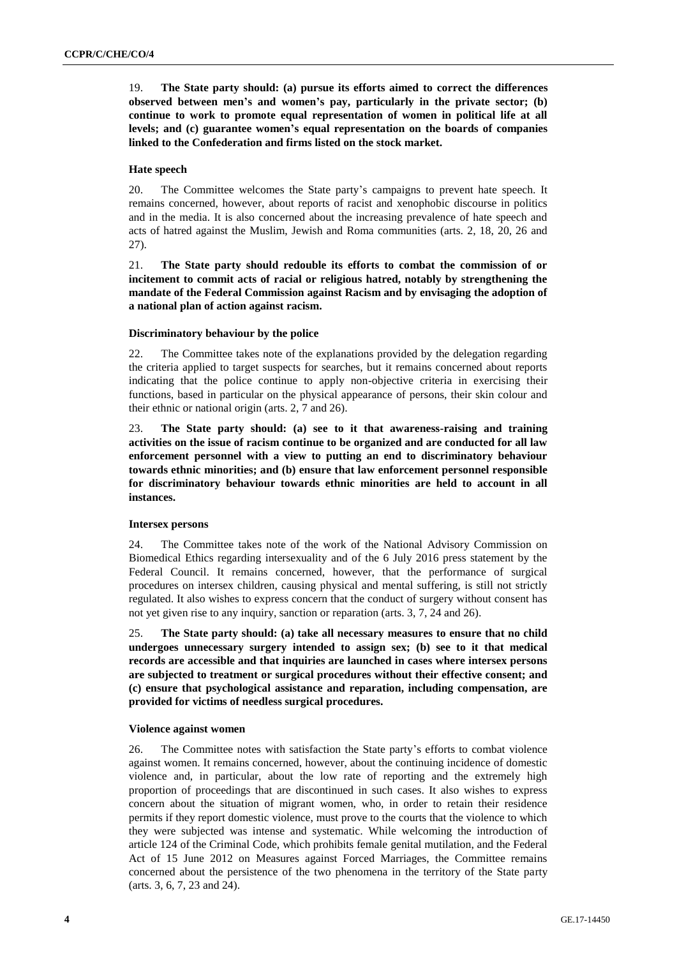19. **The State party should: (a) pursue its efforts aimed to correct the differences observed between men's and women's pay, particularly in the private sector; (b) continue to work to promote equal representation of women in political life at all levels; and (c) guarantee women's equal representation on the boards of companies linked to the Confederation and firms listed on the stock market.**

#### **Hate speech**

20. The Committee welcomes the State party's campaigns to prevent hate speech. It remains concerned, however, about reports of racist and xenophobic discourse in politics and in the media. It is also concerned about the increasing prevalence of hate speech and acts of hatred against the Muslim, Jewish and Roma communities (arts. 2, 18, 20, 26 and 27).

21. **The State party should redouble its efforts to combat the commission of or incitement to commit acts of racial or religious hatred, notably by strengthening the mandate of the Federal Commission against Racism and by envisaging the adoption of a national plan of action against racism.**

#### **Discriminatory behaviour by the police**

22. The Committee takes note of the explanations provided by the delegation regarding the criteria applied to target suspects for searches, but it remains concerned about reports indicating that the police continue to apply non-objective criteria in exercising their functions, based in particular on the physical appearance of persons, their skin colour and their ethnic or national origin (arts. 2, 7 and 26).

23. **The State party should: (a) see to it that awareness-raising and training activities on the issue of racism continue to be organized and are conducted for all law enforcement personnel with a view to putting an end to discriminatory behaviour towards ethnic minorities; and (b) ensure that law enforcement personnel responsible for discriminatory behaviour towards ethnic minorities are held to account in all instances.**

#### **Intersex persons**

24. The Committee takes note of the work of the National Advisory Commission on Biomedical Ethics regarding intersexuality and of the 6 July 2016 press statement by the Federal Council. It remains concerned, however, that the performance of surgical procedures on intersex children, causing physical and mental suffering, is still not strictly regulated. It also wishes to express concern that the conduct of surgery without consent has not yet given rise to any inquiry, sanction or reparation (arts. 3, 7, 24 and 26).

25. **The State party should: (a) take all necessary measures to ensure that no child undergoes unnecessary surgery intended to assign sex; (b) see to it that medical records are accessible and that inquiries are launched in cases where intersex persons are subjected to treatment or surgical procedures without their effective consent; and (c) ensure that psychological assistance and reparation, including compensation, are provided for victims of needless surgical procedures.**

#### **Violence against women**

26. The Committee notes with satisfaction the State party's efforts to combat violence against women. It remains concerned, however, about the continuing incidence of domestic violence and, in particular, about the low rate of reporting and the extremely high proportion of proceedings that are discontinued in such cases. It also wishes to express concern about the situation of migrant women, who, in order to retain their residence permits if they report domestic violence, must prove to the courts that the violence to which they were subjected was intense and systematic. While welcoming the introduction of article 124 of the Criminal Code, which prohibits female genital mutilation, and the Federal Act of 15 June 2012 on Measures against Forced Marriages, the Committee remains concerned about the persistence of the two phenomena in the territory of the State party (arts. 3, 6, 7, 23 and 24).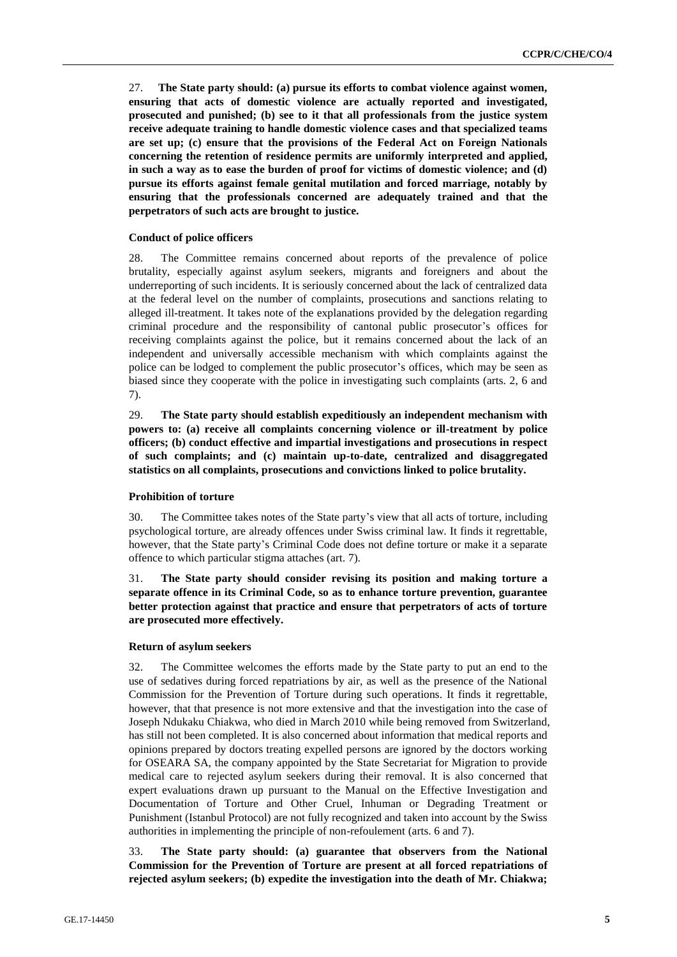27. **The State party should: (a) pursue its efforts to combat violence against women, ensuring that acts of domestic violence are actually reported and investigated, prosecuted and punished; (b) see to it that all professionals from the justice system receive adequate training to handle domestic violence cases and that specialized teams are set up; (c) ensure that the provisions of the Federal Act on Foreign Nationals concerning the retention of residence permits are uniformly interpreted and applied, in such a way as to ease the burden of proof for victims of domestic violence; and (d) pursue its efforts against female genital mutilation and forced marriage, notably by ensuring that the professionals concerned are adequately trained and that the perpetrators of such acts are brought to justice.**

#### **Conduct of police officers**

28. The Committee remains concerned about reports of the prevalence of police brutality, especially against asylum seekers, migrants and foreigners and about the underreporting of such incidents. It is seriously concerned about the lack of centralized data at the federal level on the number of complaints, prosecutions and sanctions relating to alleged ill-treatment. It takes note of the explanations provided by the delegation regarding criminal procedure and the responsibility of cantonal public prosecutor's offices for receiving complaints against the police, but it remains concerned about the lack of an independent and universally accessible mechanism with which complaints against the police can be lodged to complement the public prosecutor's offices, which may be seen as biased since they cooperate with the police in investigating such complaints (arts. 2, 6 and 7).

29. **The State party should establish expeditiously an independent mechanism with powers to: (a) receive all complaints concerning violence or ill-treatment by police officers; (b) conduct effective and impartial investigations and prosecutions in respect of such complaints; and (c) maintain up-to-date, centralized and disaggregated statistics on all complaints, prosecutions and convictions linked to police brutality.**

#### **Prohibition of torture**

30. The Committee takes notes of the State party's view that all acts of torture, including psychological torture, are already offences under Swiss criminal law. It finds it regrettable, however, that the State party's Criminal Code does not define torture or make it a separate offence to which particular stigma attaches (art. 7).

31. **The State party should consider revising its position and making torture a separate offence in its Criminal Code, so as to enhance torture prevention, guarantee better protection against that practice and ensure that perpetrators of acts of torture are prosecuted more effectively.**

#### **Return of asylum seekers**

32. The Committee welcomes the efforts made by the State party to put an end to the use of sedatives during forced repatriations by air, as well as the presence of the National Commission for the Prevention of Torture during such operations. It finds it regrettable, however, that that presence is not more extensive and that the investigation into the case of Joseph Ndukaku Chiakwa, who died in March 2010 while being removed from Switzerland, has still not been completed. It is also concerned about information that medical reports and opinions prepared by doctors treating expelled persons are ignored by the doctors working for OSEARA SA, the company appointed by the State Secretariat for Migration to provide medical care to rejected asylum seekers during their removal. It is also concerned that expert evaluations drawn up pursuant to the Manual on the Effective Investigation and Documentation of Torture and Other Cruel, Inhuman or Degrading Treatment or Punishment (Istanbul Protocol) are not fully recognized and taken into account by the Swiss authorities in implementing the principle of non-refoulement (arts. 6 and 7).

33. **The State party should: (a) guarantee that observers from the National Commission for the Prevention of Torture are present at all forced repatriations of rejected asylum seekers; (b) expedite the investigation into the death of Mr. Chiakwa;**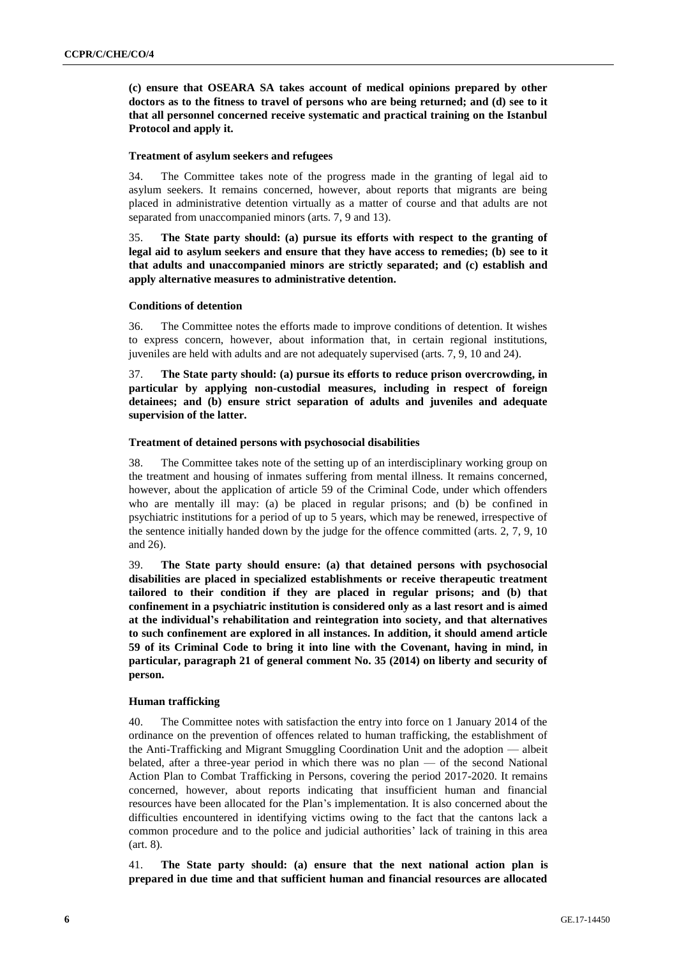**(c) ensure that OSEARA SA takes account of medical opinions prepared by other doctors as to the fitness to travel of persons who are being returned; and (d) see to it that all personnel concerned receive systematic and practical training on the Istanbul Protocol and apply it.**

#### **Treatment of asylum seekers and refugees**

34. The Committee takes note of the progress made in the granting of legal aid to asylum seekers. It remains concerned, however, about reports that migrants are being placed in administrative detention virtually as a matter of course and that adults are not separated from unaccompanied minors (arts. 7, 9 and 13).

35. **The State party should: (a) pursue its efforts with respect to the granting of legal aid to asylum seekers and ensure that they have access to remedies; (b) see to it that adults and unaccompanied minors are strictly separated; and (c) establish and apply alternative measures to administrative detention.**

#### **Conditions of detention**

36. The Committee notes the efforts made to improve conditions of detention. It wishes to express concern, however, about information that, in certain regional institutions, juveniles are held with adults and are not adequately supervised (arts. 7, 9, 10 and 24).

37. **The State party should: (a) pursue its efforts to reduce prison overcrowding, in particular by applying non-custodial measures, including in respect of foreign detainees; and (b) ensure strict separation of adults and juveniles and adequate supervision of the latter.**

#### **Treatment of detained persons with psychosocial disabilities**

38. The Committee takes note of the setting up of an interdisciplinary working group on the treatment and housing of inmates suffering from mental illness. It remains concerned, however, about the application of article 59 of the Criminal Code, under which offenders who are mentally ill may: (a) be placed in regular prisons; and (b) be confined in psychiatric institutions for a period of up to 5 years, which may be renewed, irrespective of the sentence initially handed down by the judge for the offence committed (arts. 2, 7, 9, 10 and 26).

39. **The State party should ensure: (a) that detained persons with psychosocial disabilities are placed in specialized establishments or receive therapeutic treatment tailored to their condition if they are placed in regular prisons; and (b) that confinement in a psychiatric institution is considered only as a last resort and is aimed at the individual's rehabilitation and reintegration into society, and that alternatives to such confinement are explored in all instances. In addition, it should amend article 59 of its Criminal Code to bring it into line with the Covenant, having in mind, in particular, paragraph 21 of general comment No. 35 (2014) on liberty and security of person.**

### **Human trafficking**

40. The Committee notes with satisfaction the entry into force on 1 January 2014 of the ordinance on the prevention of offences related to human trafficking, the establishment of the Anti-Trafficking and Migrant Smuggling Coordination Unit and the adoption — albeit belated, after a three-year period in which there was no plan — of the second National Action Plan to Combat Trafficking in Persons, covering the period 2017-2020. It remains concerned, however, about reports indicating that insufficient human and financial resources have been allocated for the Plan's implementation. It is also concerned about the difficulties encountered in identifying victims owing to the fact that the cantons lack a common procedure and to the police and judicial authorities' lack of training in this area (art. 8).

41. **The State party should: (a) ensure that the next national action plan is prepared in due time and that sufficient human and financial resources are allocated**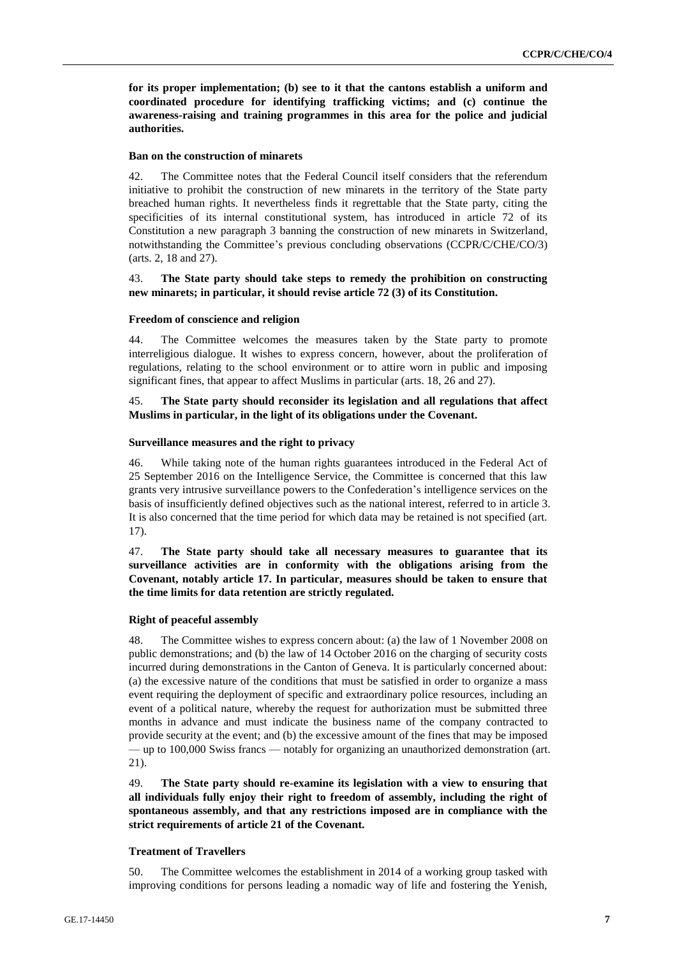**for its proper implementation; (b) see to it that the cantons establish a uniform and coordinated procedure for identifying trafficking victims; and (c) continue the awareness-raising and training programmes in this area for the police and judicial authorities.**

## **Ban on the construction of minarets**

42. The Committee notes that the Federal Council itself considers that the referendum initiative to prohibit the construction of new minarets in the territory of the State party breached human rights. It nevertheless finds it regrettable that the State party, citing the specificities of its internal constitutional system, has introduced in article 72 of its Constitution a new paragraph 3 banning the construction of new minarets in Switzerland, notwithstanding the Committee's previous concluding observations (CCPR/C/CHE/CO/3) (arts. 2, 18 and 27).

## 43. **The State party should take steps to remedy the prohibition on constructing new minarets; in particular, it should revise article 72 (3) of its Constitution.**

## **Freedom of conscience and religion**

44. The Committee welcomes the measures taken by the State party to promote interreligious dialogue. It wishes to express concern, however, about the proliferation of regulations, relating to the school environment or to attire worn in public and imposing significant fines, that appear to affect Muslims in particular (arts. 18, 26 and 27).

## 45. **The State party should reconsider its legislation and all regulations that affect Muslims in particular, in the light of its obligations under the Covenant.**

### **Surveillance measures and the right to privacy**

46. While taking note of the human rights guarantees introduced in the Federal Act of 25 September 2016 on the Intelligence Service, the Committee is concerned that this law grants very intrusive surveillance powers to the Confederation's intelligence services on the basis of insufficiently defined objectives such as the national interest, referred to in article 3. It is also concerned that the time period for which data may be retained is not specified (art. 17).

47. **The State party should take all necessary measures to guarantee that its surveillance activities are in conformity with the obligations arising from the Covenant, notably article 17. In particular, measures should be taken to ensure that the time limits for data retention are strictly regulated.**

## **Right of peaceful assembly**

48. The Committee wishes to express concern about: (a) the law of 1 November 2008 on public demonstrations; and (b) the law of 14 October 2016 on the charging of security costs incurred during demonstrations in the Canton of Geneva. It is particularly concerned about: (a) the excessive nature of the conditions that must be satisfied in order to organize a mass event requiring the deployment of specific and extraordinary police resources, including an event of a political nature, whereby the request for authorization must be submitted three months in advance and must indicate the business name of the company contracted to provide security at the event; and (b) the excessive amount of the fines that may be imposed — up to 100,000 Swiss francs — notably for organizing an unauthorized demonstration (art. 21).

49. **The State party should re-examine its legislation with a view to ensuring that all individuals fully enjoy their right to freedom of assembly, including the right of spontaneous assembly, and that any restrictions imposed are in compliance with the strict requirements of article 21 of the Covenant.**

## **Treatment of Travellers**

50. The Committee welcomes the establishment in 2014 of a working group tasked with improving conditions for persons leading a nomadic way of life and fostering the Yenish,